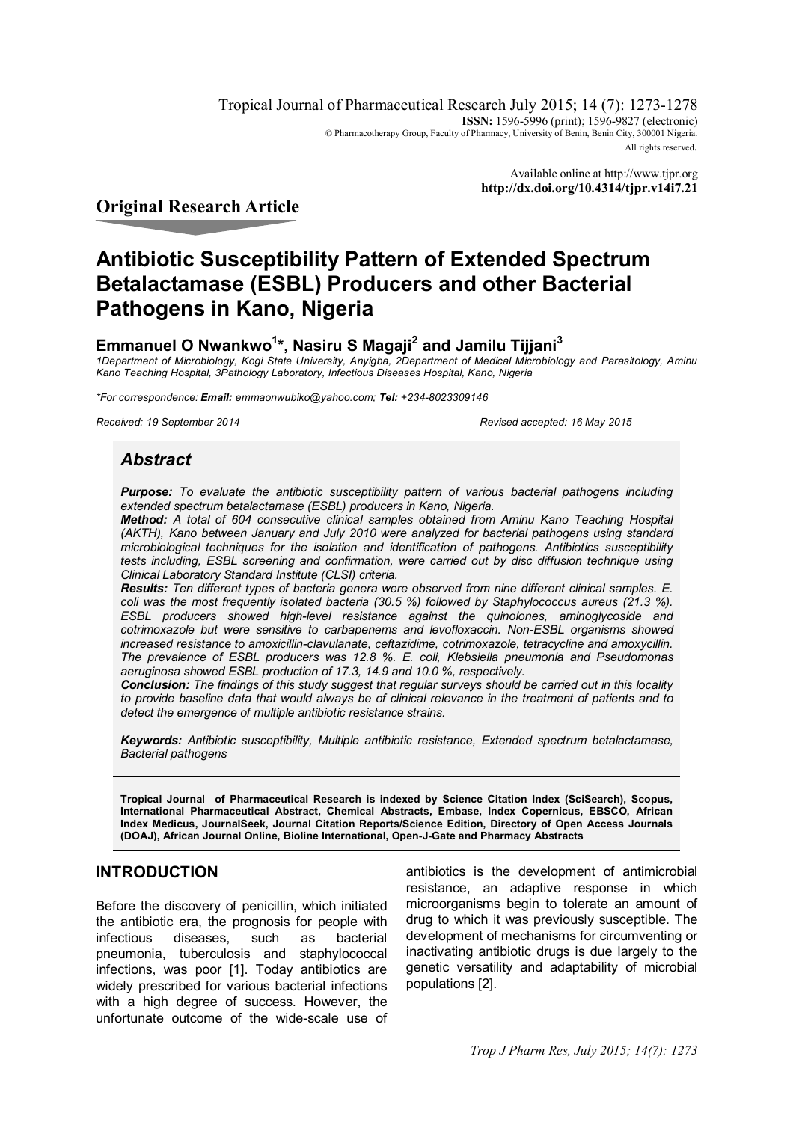Tropical Journal of Pharmaceutical Research July 2015; 14 (7): 1273-1278 **ISSN:** 1596-5996 (print); 1596-9827 (electronic) © Pharmacotherapy Group, Faculty of Pharmacy, University of Benin, Benin City, 300001 Nigeria. All rights reserved.

> Available online at http://www.tjpr.org **http://dx.doi.org/10.4314/tjpr.v14i7.21**

# **Original Research Article**

# **Antibiotic Susceptibility Pattern of Extended Spectrum Betalactamase (ESBL) Producers and other Bacterial Pathogens in Kano, Nigeria**

# **Emmanuel O Nwankwo<sup>1</sup> \*, Nasiru S Magaji<sup>2</sup> and Jamilu Tijjani<sup>3</sup>**

*1Department of Microbiology, Kogi State University, Anyigba, 2Department of Medical Microbiology and Parasitology, Aminu Kano Teaching Hospital, 3Pathology Laboratory, Infectious Diseases Hospital, Kano, Nigeria*

*\*For correspondence: Email: emmaonwubiko@yahoo.com; Tel: +234-8023309146*

*Received: 19 September 2014 Revised accepted: 16 May 2015*

# *Abstract*

*Purpose: To evaluate the antibiotic susceptibility pattern of various bacterial pathogens including extended spectrum betalactamase (ESBL) producers in Kano, Nigeria.*

*Method: A total of 604 consecutive clinical samples obtained from Aminu Kano Teaching Hospital (AKTH), Kano between January and July 2010 were analyzed for bacterial pathogens using standard microbiological techniques for the isolation and identification of pathogens. Antibiotics susceptibility tests including, ESBL screening and confirmation, were carried out by disc diffusion technique using Clinical Laboratory Standard Institute (CLSI) criteria.*

*Results: Ten different types of bacteria genera were observed from nine different clinical samples. E. coli was the most frequently isolated bacteria (30.5 %) followed by Staphylococcus aureus (21.3 %). ESBL producers showed high-level resistance against the quinolones, aminoglycoside and cotrimoxazole but were sensitive to carbapenems and levofloxaccin. Non-ESBL organisms showed increased resistance to amoxicillin-clavulanate, ceftazidime, cotrimoxazole, tetracycline and amoxycillin. The prevalence of ESBL producers was 12.8 %. E. coli, Klebsiella pneumonia and Pseudomonas aeruginosa showed ESBL production of 17.3, 14.9 and 10.0 %, respectively.*

*Conclusion: The findings of this study suggest that regular surveys should be carried out in this locality to provide baseline data that would always be of clinical relevance in the treatment of patients and to detect the emergence of multiple antibiotic resistance strains.*

*Keywords: Antibiotic susceptibility, Multiple antibiotic resistance, Extended spectrum betalactamase, Bacterial pathogens*

**Tropical Journal of Pharmaceutical Research is indexed by Science Citation Index (SciSearch), Scopus, International Pharmaceutical Abstract, Chemical Abstracts, Embase, Index Copernicus, EBSCO, African Index Medicus, JournalSeek, Journal Citation Reports/Science Edition, Directory of Open Access Journals (DOAJ), African Journal Online, Bioline International, Open-J-Gate and Pharmacy Abstracts**

### **INTRODUCTION**

Before the discovery of penicillin, which initiated the antibiotic era, the prognosis for people with infectious diseases, such as bacterial pneumonia, tuberculosis and staphylococcal infections, was poor [1]. Today antibiotics are widely prescribed for various bacterial infections with a high degree of success. However, the unfortunate outcome of the wide-scale use of

antibiotics is the development of antimicrobial resistance, an adaptive response in which microorganisms begin to tolerate an amount of drug to which it was previously susceptible. The development of mechanisms for circumventing or inactivating antibiotic drugs is due largely to the genetic versatility and adaptability of microbial populations [2].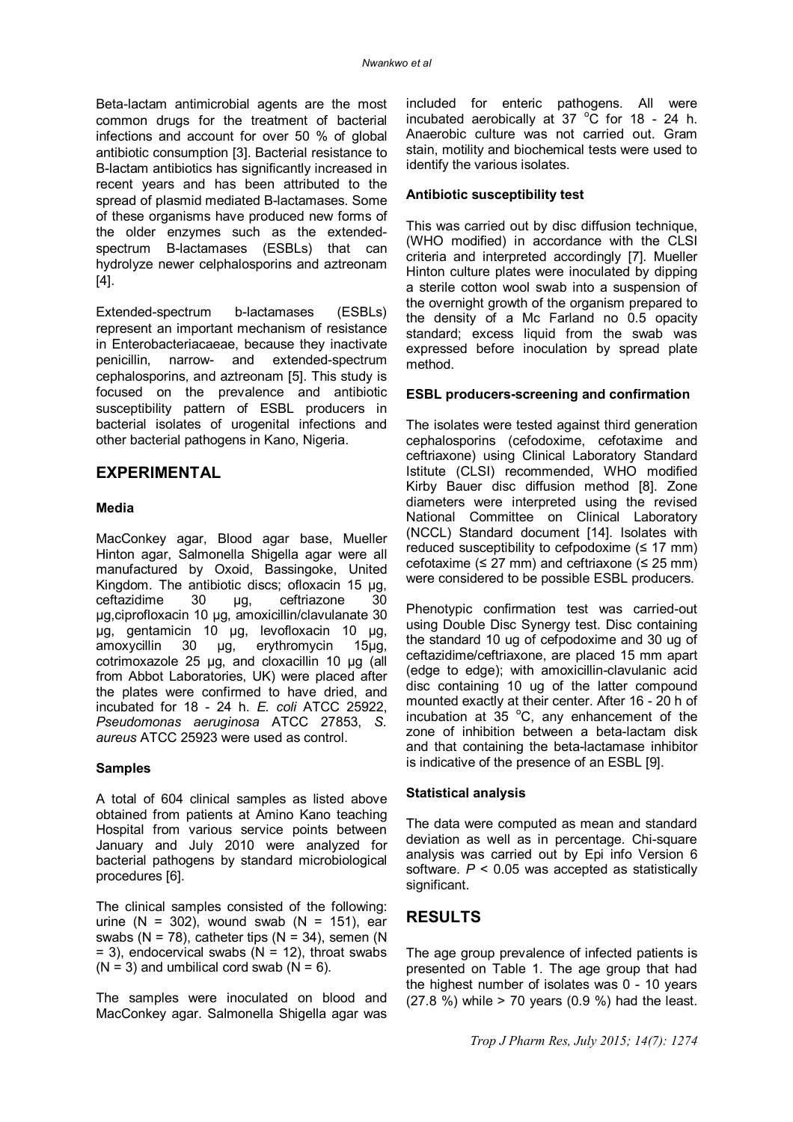Beta-lactam antimicrobial agents are the most common drugs for the treatment of bacterial infections and account for over 50 % of global antibiotic consumption [3]. Bacterial resistance to B-lactam antibiotics has significantly increased in recent years and has been attributed to the spread of plasmid mediated B-lactamases. Some of these organisms have produced new forms of the older enzymes such as the extendedspectrum B-lactamases (ESBLs) that can hydrolyze newer celphalosporins and aztreonam [4].

Extended-spectrum b-lactamases (ESBLs) represent an important mechanism of resistance in Enterobacteriacaeae, because they inactivate penicillin, narrow- and extended-spectrum cephalosporins, and aztreonam [5]. This study is focused on the prevalence and antibiotic susceptibility pattern of ESBL producers in bacterial isolates of urogenital infections and other bacterial pathogens in Kano, Nigeria.

# **EXPERIMENTAL**

#### **Media**

MacConkey agar, Blood agar base, Mueller Hinton agar, Salmonella Shigella agar were all manufactured by Oxoid, Bassingoke, United Kingdom. The antibiotic discs; ofloxacin 15 µg,<br>ceftazidime 30 ug. ceftriazone 30 ceftazidime 30 µg, ceftriazone 30 µg,ciprofloxacin 10 µg, amoxicillin/clavulanate 30 µg, gentamicin 10 µg, levofloxacin 10 µg, amoxycillin 30 µg, erythromycin 15µg, cotrimoxazole 25 µg, and cloxacillin 10 µg (all from Abbot Laboratories, UK) were placed after the plates were confirmed to have dried, and incubated for 18 - 24 h. *E. coli* ATCC 25922, *Pseudomonas aeruginosa* ATCC 27853, *S. aureus* ATCC 25923 were used as control.

#### **Samples**

A total of 604 clinical samples as listed above obtained from patients at Amino Kano teaching Hospital from various service points between January and July 2010 were analyzed for bacterial pathogens by standard microbiological procedures [6].

The clinical samples consisted of the following: urine (N = 302), wound swab (N = 151), ear swabs ( $N = 78$ ), catheter tips ( $N = 34$ ), semen ( $N = 124$ )  $= 3$ ), endocervical swabs (N  $= 12$ ), throat swabs  $(N = 3)$  and umbilical cord swab  $(N = 6)$ .

The samples were inoculated on blood and MacConkey agar. Salmonella Shigella agar was

included for enteric pathogens. All were incubated aerobically at  $37 \text{ °C}$  for 18 - 24 h. Anaerobic culture was not carried out. Gram stain, motility and biochemical tests were used to identify the various isolates.

#### **Antibiotic susceptibility test**

This was carried out by disc diffusion technique, (WHO modified) in accordance with the CLSI criteria and interpreted accordingly [7]. Mueller Hinton culture plates were inoculated by dipping a sterile cotton wool swab into a suspension of the overnight growth of the organism prepared to the density of a Mc Farland no 0.5 opacity standard; excess liquid from the swab was expressed before inoculation by spread plate method.

#### **ESBL producers-screening and confirmation**

The isolates were tested against third generation cephalosporins (cefodoxime, cefotaxime and ceftriaxone) using Clinical Laboratory Standard Istitute (CLSI) recommended, WHO modified Kirby Bauer disc diffusion method [8]. Zone diameters were interpreted using the revised National Committee on Clinical Laboratory (NCCL) Standard document [14]. Isolates with reduced susceptibility to cefpodoxime  $(≤ 17$  mm) cefotaxime ( $\leq$  27 mm) and ceftriaxone ( $\leq$  25 mm) were considered to be possible ESBL producers.

Phenotypic confirmation test was carried-out using Double Disc Synergy test. Disc containing the standard 10 ug of cefpodoxime and 30 ug of ceftazidime/ceftriaxone, are placed 15 mm apart (edge to edge); with amoxicillin-clavulanic acid disc containing 10 ug of the latter compound mounted exactly at their center. After 16 - 20 h of incubation at  $35^{\circ}$ C, any enhancement of the zone of inhibition between a beta-lactam disk and that containing the beta-lactamase inhibitor is indicative of the presence of an ESBL [9].

#### **Statistical analysis**

The data were computed as mean and standard deviation as well as in percentage. Chi-square analysis was carried out by Epi info Version 6 software. *P* < 0.05 was accepted as statistically significant.

### **RESULTS**

The age group prevalence of infected patients is presented on Table 1. The age group that had the highest number of isolates was 0 - 10 years  $(27.8\%)$  while > 70 years  $(0.9\%)$  had the least.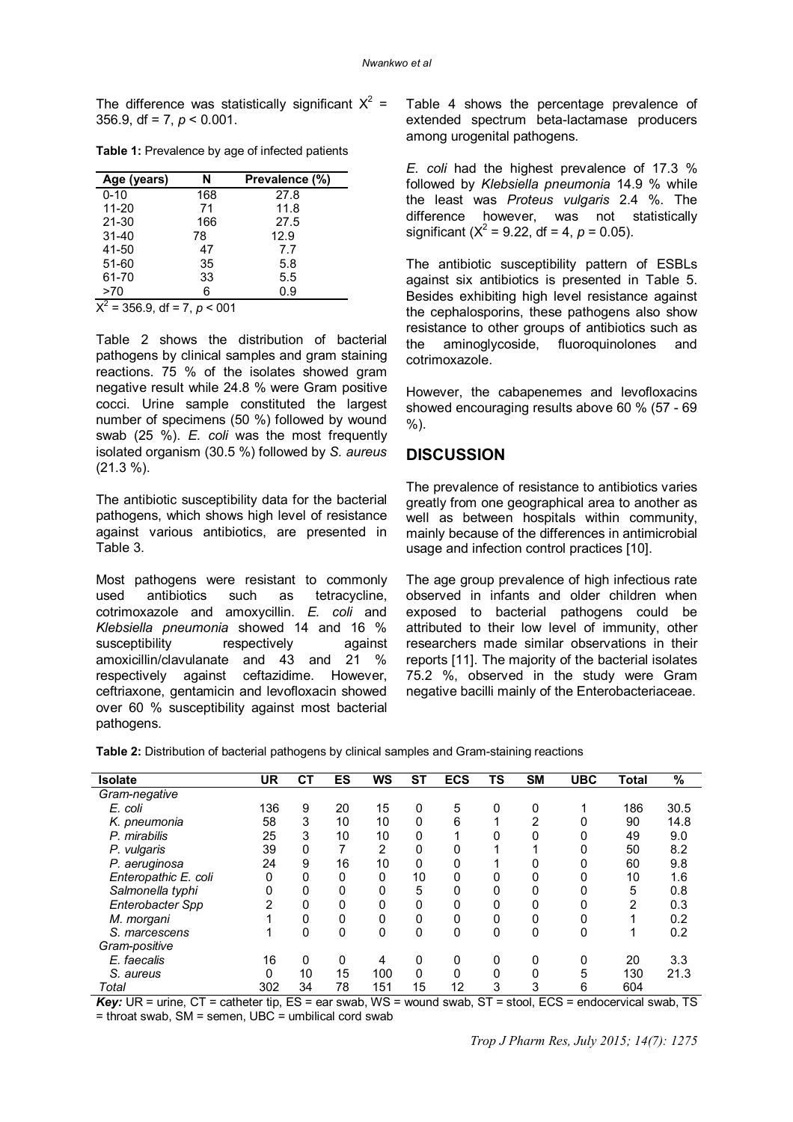The difference was statistically significant  $X^2 =$ 356.9, df = 7,  $p < 0.001$ .

|  | Table 1: Prevalence by age of infected patients |  |  |  |  |
|--|-------------------------------------------------|--|--|--|--|
|--|-------------------------------------------------|--|--|--|--|

| Age (years) | N   | Prevalence (%) |
|-------------|-----|----------------|
| $0 - 10$    | 168 | 27.8           |
| $11 - 20$   | 71  | 11.8           |
| $21 - 30$   | 166 | 27.5           |
| $31 - 40$   | 78  | 12.9           |
| 41-50       | 47  | 7.7            |
| 51-60       | 35  | 5.8            |
| 61-70       | 33  | 5.5            |
| >70         | 6   | 0.9            |

 $X^2$  = 356.9, df = 7,  $p < 001$ 

Table 2 shows the distribution of bacterial pathogens by clinical samples and gram staining reactions. 75 % of the isolates showed gram negative result while 24.8 % were Gram positive cocci. Urine sample constituted the largest number of specimens (50 %) followed by wound swab (25 %). *E. coli* was the most frequently isolated organism (30.5 %) followed by *S. aureus* (21.3 %).

The antibiotic susceptibility data for the bacterial pathogens, which shows high level of resistance against various antibiotics, are presented in Table 3.

Most pathogens were resistant to commonly used antibiotics such as tetracycline, cotrimoxazole and amoxycillin. *E. coli* and *Klebsiella pneumonia* showed 14 and 16 % susceptibility respectively against amoxicillin/clavulanate and 43 and 21 % respectively against ceftazidime. However, ceftriaxone, gentamicin and levofloxacin showed over 60 % susceptibility against most bacterial pathogens.

Table 4 shows the percentage prevalence of extended spectrum beta-lactamase producers among urogenital pathogens.

*E. coli* had the highest prevalence of 17.3 % followed by *Klebsiella pneumonia* 14.9 % while the least was *Proteus vulgaris* 2.4 %. The difference however, was not statistically significant ( $X^2 = 9.22$ , df = 4,  $p = 0.05$ ).

The antibiotic susceptibility pattern of ESBLs against six antibiotics is presented in Table 5. Besides exhibiting high level resistance against the cephalosporins, these pathogens also show resistance to other groups of antibiotics such as the aminoglycoside, fluoroquinolones and cotrimoxazole.

However, the cabapenemes and levofloxacins showed encouraging results above 60 % (57 - 69 %).

#### **DISCUSSION**

The prevalence of resistance to antibiotics varies greatly from one geographical area to another as well as between hospitals within community, mainly because of the differences in antimicrobial usage and infection control practices [10].

The age group prevalence of high infectious rate observed in infants and older children when exposed to bacterial pathogens could be attributed to their low level of immunity, other researchers made similar observations in their reports [11]. The majority of the bacterial isolates 75.2 %, observed in the study were Gram negative bacilli mainly of the Enterobacteriaceae.

**Table 2:** Distribution of bacterial pathogens by clinical samples and Gram-staining reactions

| <b>Isolate</b>       | <b>UR</b> | СT | ES | <b>WS</b> | <b>ST</b> | <b>ECS</b> | TS | <b>SM</b>   | <b>UBC</b> | Total | %    |
|----------------------|-----------|----|----|-----------|-----------|------------|----|-------------|------------|-------|------|
| Gram-negative        |           |    |    |           |           |            |    |             |            |       |      |
| E. coli              | 136       | 9  | 20 | 15        | 0         | 5          | 0  | 0           |            | 186   | 30.5 |
| K. pneumonia         | 58        | 3  | 10 | 10        | 0         | 6          |    | 2           | 0          | 90    | 14.8 |
| P. mirabilis         | 25        | 3  | 10 | 10        | 0         |            | 0  | 0           | 0          | 49    | 9.0  |
| P. vulgaris          | 39        | 0  | 7  | 2         | 0         | 0          |    |             | 0          | 50    | 8.2  |
| P. aeruginosa        | 24        | 9  | 16 | 10        | 0         | 0          |    | 0           | 0          | 60    | 9.8  |
| Enteropathic E. coli | 0         | 0  | 0  | 0         | 10        | 0          | 0  | 0           | 0          | 10    | 1.6  |
| Salmonella typhi     | 0         | 0  | 0  | 0         | 5         | 0          | 0  | 0           | 0          | 5     | 0.8  |
| Enterobacter Spp     | 2         | 0  | 0  | 0         | 0         | 0          | 0  | 0           | 0          | 2     | 0.3  |
| M. morgani           |           | 0  | 0  | 0         | 0         | 0          | 0  | $\mathbf 0$ | 0          |       | 0.2  |
| S. marcescens        |           | 0  | 0  | 0         | 0         | 0          | 0  | 0           | 0          |       | 0.2  |
| Gram-positive        |           |    |    |           |           |            |    |             |            |       |      |
| E. faecalis          | 16        | 0  | 0  | 4         | 0         | 0          | 0  | 0           | 0          | 20    | 3.3  |
| S. aureus            | $\Omega$  | 10 | 15 | 100       | 0         | 0          | 0  | 0           | 5          | 130   | 21.3 |
| Total                | 302       | 34 | 78 | 151       | 15        | 12         | 3  | 3           | 6          | 604   |      |

*Key:* UR = urine, CT = catheter tip, ES = ear swab, WS = wound swab, ST = stool, ECS = endocervical swab, TS = throat swab, SM = semen, UBC = umbilical cord swab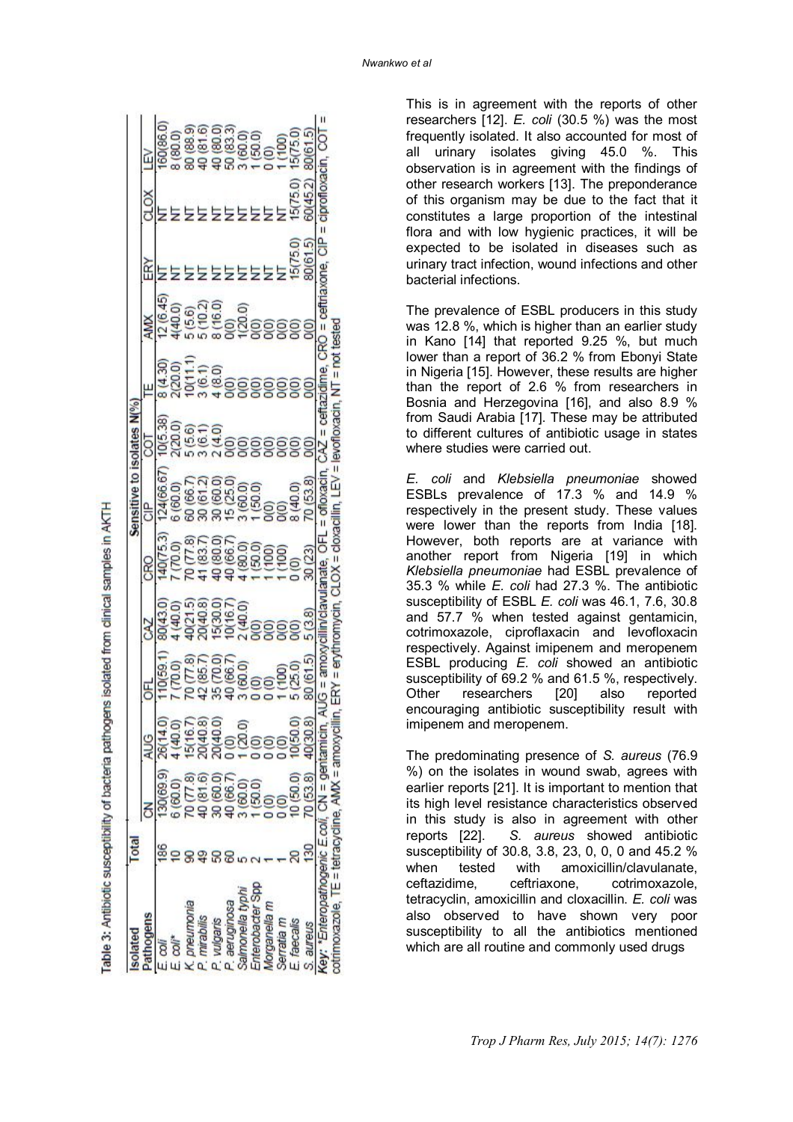|              |               |                                                                                                |                                                                |                                                                                     | Sensi                 |                                                             |                                                         |                                          |                                                               |                     |                                                                                                  |
|--------------|---------------|------------------------------------------------------------------------------------------------|----------------------------------------------------------------|-------------------------------------------------------------------------------------|-----------------------|-------------------------------------------------------------|---------------------------------------------------------|------------------------------------------|---------------------------------------------------------------|---------------------|--------------------------------------------------------------------------------------------------|
|              |               |                                                                                                | CAZ                                                            |                                                                                     | 응                     |                                                             |                                                         | <b>AMX</b>                               | 窋                                                             |                     | Ğ                                                                                                |
|              |               |                                                                                                |                                                                |                                                                                     | 124(66.67<br>5 (60.0) |                                                             |                                                         |                                          |                                                               |                     |                                                                                                  |
|              |               |                                                                                                |                                                                |                                                                                     |                       |                                                             |                                                         |                                          |                                                               |                     |                                                                                                  |
|              | 5/16.7        |                                                                                                |                                                                |                                                                                     |                       |                                                             |                                                         |                                          |                                                               |                     | 3 (80.0)<br>80 (88.9)<br>80 (81.6)<br>80 (80.0)<br>80 (80.0)<br>80 (150)<br>80 (150)<br>80 (150) |
| 0.81.6       | 3             |                                                                                                |                                                                |                                                                                     |                       |                                                             |                                                         |                                          |                                                               |                     |                                                                                                  |
| 0.601        | 0(40.0)       |                                                                                                |                                                                |                                                                                     |                       |                                                             |                                                         |                                          |                                                               |                     |                                                                                                  |
| 0(66.7)      |               |                                                                                                |                                                                |                                                                                     |                       |                                                             |                                                         |                                          |                                                               |                     |                                                                                                  |
| $\Omega$ .0) |               |                                                                                                |                                                                |                                                                                     |                       |                                                             |                                                         |                                          |                                                               |                     |                                                                                                  |
|              |               |                                                                                                |                                                                |                                                                                     |                       |                                                             |                                                         |                                          |                                                               |                     |                                                                                                  |
|              |               |                                                                                                |                                                                |                                                                                     |                       |                                                             |                                                         |                                          |                                                               |                     |                                                                                                  |
|              |               |                                                                                                |                                                                |                                                                                     |                       |                                                             |                                                         |                                          |                                                               |                     |                                                                                                  |
| 0.06(        |               |                                                                                                |                                                                |                                                                                     |                       |                                                             |                                                         |                                          |                                                               |                     |                                                                                                  |
| (53.8)       | $\frac{1}{2}$ |                                                                                                | 5(3.8)                                                         |                                                                                     |                       |                                                             |                                                         |                                          |                                                               |                     |                                                                                                  |
|              |               |                                                                                                |                                                                |                                                                                     |                       |                                                             |                                                         |                                          |                                                               |                     |                                                                                                  |
| Z            |               | $\frac{1}{2}$ $\frac{(20.0)}{0}$<br>ev: "Enteropathogenic E.coli, CN = gentamicin<br>$MN = am$ | 185.7<br>85 (700)<br>866 (800)<br>88 (800) - 1<br>88 (800) - 1 | 8043.0)<br>4 4043.00<br>4 40443.00<br>8 4 4046.00<br>8 404 405 400<br>8 404 405 400 |                       | 66788666<br>6688666666666<br>68888666666688<br>688888666688 | ឌី១ ទុក្ខគ្<br>ម៉ូនី ម៉ូឌី ។ ទូទូទូទូទូ<br>ដូនី ម៉ូឌី ។ | 811 - 8<br>815 - 818 8888<br>82 - 838888 | ຊີ<br>ຮູ້ອິດໃຊ້ ຄູ່<br>ຊູ້ອິດປີ ຮູ້ອິດ<br>ຊູ້ ສູ້ ສູ້ອິດຊີວິດ | 80(61.5)<br>15(75.0 |                                                                                                  |

Table 3: Antibiotic susceptibility of bacteria pathogens isolated from dinical samples in AKTH

This is in agreement with the reports of other researchers [12]. *E. coli* (30.5 %) was the most frequently isolated. It also accounted for most of all urinary isolates giving 45.0 %. This observation is in agreement with the findings of other research workers [13]. The preponderance of this organism may be due to the fact that it constitutes a large proportion of the intestinal flora and with low hygienic practices, it will be expected to be isolated in diseases such as urinary tract infection, wound infections and other bacterial infections.

The prevalence of ESBL producers in this study was 12.8 %, which is higher than an earlier study in Kano [14] that reported 9.25 %, but much lower than a report of 36.2 % from Ebonyi State in Nigeria [15]. However, these results are higher than the report of 2.6 % from researchers in Bosnia and Herzegovina [16], and also 8.9 % from Saudi Arabia [17]. These may be attributed to different cultures of antibiotic usage in states where studies were carried out.

*E. coli* and *Klebsiella pneumoniae* showed ESBLs prevalence of 17.3 % and 14.9 % respectively in the present study. These values were lower than the reports from India [18]. However, both reports are at variance with another report from Nigeria [19] in which *Klebsiella pneumoniae* had ESBL prevalence of 35.3 % while *E. coli* had 27.3 %. The antibiotic susceptibility of ESBL *E. coli* was 46.1, 7.6, 30.8 and 57.7 % when tested against gentamicin, cotrimoxazole, ciproflaxacin and levofloxacin respectively. Against imipenem and meropenem ESBL producing *E. coli* showed an antibiotic susceptibility of 69.2 % and 61.5 %, respectively. Other researchers [20] also reported encouraging antibiotic susceptibility result with imipenem and meropenem.

The predominating presence of *S. aureus* (76.9 %) on the isolates in wound swab, agrees with earlier reports [21]. It is important to mention that its high level resistance characteristics observed in this study is also in agreement with other reports [22]. *S. aureus* showed antibiotic susceptibility of 30.8, 3.8, 23, 0, 0, 0 and 45.2 % when tested with amoxicillin/clavulanate, ceftazidime, ceftriaxone, cotrimoxazole, tetracyclin, amoxicillin and cloxacillin. *E. coli* was also observed to have shown very poor susceptibility to all the antibiotics mentioned which are all routine and commonly used drugs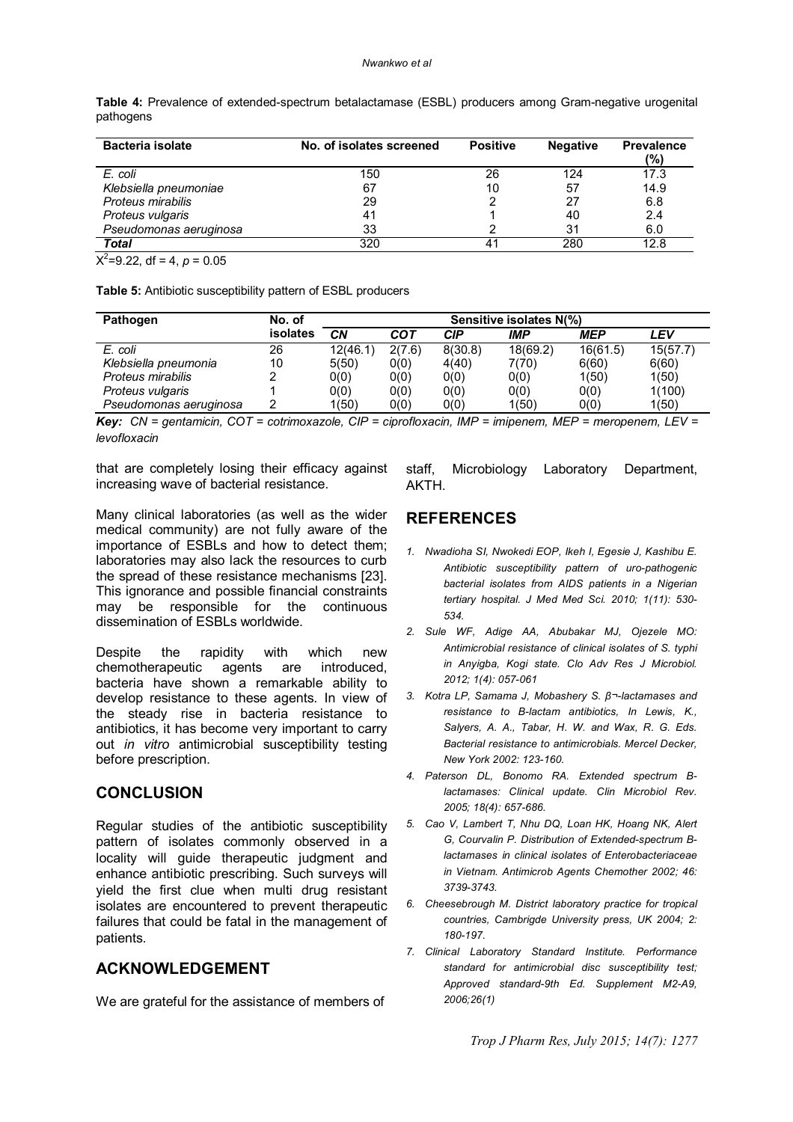#### *Nwankwo et al*

| Bacteria isolate                  | No. of isolates screened | <b>Positive</b> | <b>Negative</b> | <b>Prevalence</b><br>(%) |
|-----------------------------------|--------------------------|-----------------|-----------------|--------------------------|
| E. coli                           | 150                      | 26              | 124             | 17.3                     |
| Klebsiella pneumoniae             | 67                       | 10              | 57              | 14.9                     |
| Proteus mirabilis                 | 29                       |                 | 27              | 6.8                      |
| Proteus vulgaris                  | 41                       |                 | 40              | 2.4                      |
| Pseudomonas aeruginosa            | 33                       |                 | 31              | 6.0                      |
| <b>Total</b>                      | 320                      | 41              | 280             | 12.8                     |
| $X^2 = 9.22$ , df = 4, $p = 0.05$ |                          |                 |                 |                          |

**Table 4:** Prevalence of extended-spectrum betalactamase (ESBL) producers among Gram-negative urogenital pathogens

**Table 5:** Antibiotic susceptibility pattern of ESBL producers

| Pathogen               | No. of          | Sensitive isolates N(%) |        |         |            |            |          |  |
|------------------------|-----------------|-------------------------|--------|---------|------------|------------|----------|--|
|                        | <b>isolates</b> | СN                      | COT    | CIP     | <b>IMP</b> | <b>MEP</b> | LEV      |  |
| E. coli                | 26              | 12(46.1)                | 2(7.6) | 8(30.8) | 18(69.2)   | 16(61.5)   | 15(57.7) |  |
| Klebsiella pneumonia   | 10              | 5(50)                   | 0(0)   | 4(40)   | 7(70)      | 6(60)      | 6(60)    |  |
| Proteus mirabilis      |                 | 0(0)                    | O(0)   | 0(0)    | 0(0)       | 1(50)      | 1(50)    |  |
| Proteus vulgaris       |                 | 0(0)                    | O(0)   | 0(0)    | 0(0)       | 0(0)       | 1(100)   |  |
| Pseudomonas aeruginosa |                 | 1(50)                   | O(0)   | 0(0)    | 1(50)      | 0(0)       | 1(50)    |  |

*Key: CN = gentamicin, COT = cotrimoxazole, CIP = ciprofloxacin, IMP = imipenem, MEP = meropenem, LEV = levofloxacin*

that are completely losing their efficacy against increasing wave of bacterial resistance.

Many clinical laboratories (as well as the wider medical community) are not fully aware of the importance of ESBLs and how to detect them; laboratories may also lack the resources to curb the spread of these resistance mechanisms [23]. This ignorance and possible financial constraints<br>may be responsible for the continuous be responsible for the continuous dissemination of ESBLs worldwide.

Despite the rapidity with which new chemotherapeutic agents are introduced, bacteria have shown a remarkable ability to develop resistance to these agents. In view of the steady rise in bacteria resistance to antibiotics, it has become very important to carry out *in vitro* antimicrobial susceptibility testing before prescription.

### **CONCLUSION**

Regular studies of the antibiotic susceptibility pattern of isolates commonly observed in a locality will guide therapeutic judgment and enhance antibiotic prescribing. Such surveys will yield the first clue when multi drug resistant isolates are encountered to prevent therapeutic failures that could be fatal in the management of patients.

## **ACKNOWLEDGEMENT**

We are grateful for the assistance of members of

staff, Microbiology Laboratory Department, AKTH.

# **REFERENCES**

- *1. Nwadioha SI, Nwokedi EOP, Ikeh I, Egesie J, Kashibu E. Antibiotic susceptibility pattern of uro-pathogenic bacterial isolates from AIDS patients in a Nigerian tertiary hospital. J Med Med Sci. 2010; 1(11): 530- 534.*
- *2. Sule WF, Adige AA, Abubakar MJ, Ojezele MO: Antimicrobial resistance of clinical isolates of S. typhi in Anyigba, Kogi state. Clo Adv Res J Microbiol. 2012; 1(4): 057-061*
- *3. Kotra LP, Samama J, Mobashery S. β¬-lactamases and resistance to B-lactam antibiotics, In Lewis, K., Salyers, A. A., Tabar, H. W. and Wax, R. G. Eds. Bacterial resistance to antimicrobials. Mercel Decker, New York 2002: 123-160.*
- *4. Paterson DL, Bonomo RA. Extended spectrum Blactamases: Clinical update. Clin Microbiol Rev. 2005; 18(4): 657-686.*
- *5. Cao V, Lambert T, Nhu DQ, Loan HK, Hoang NK, Alert G, Courvalin P. Distribution of Extended-spectrum Blactamases in clinical isolates of Enterobacteriaceae in Vietnam. Antimicrob Agents Chemother 2002; 46: 3739-3743.*
- *6. Cheesebrough M. District laboratory practice for tropical countries, Cambrigde University press, UK 2004; 2: 180-197.*
- *7. Clinical Laboratory Standard Institute. Performance standard for antimicrobial disc susceptibility test; Approved standard-9th Ed. Supplement M2-A9, 2006;26(1)*

*Trop J Pharm Res, July 2015; 14(7): 1277*